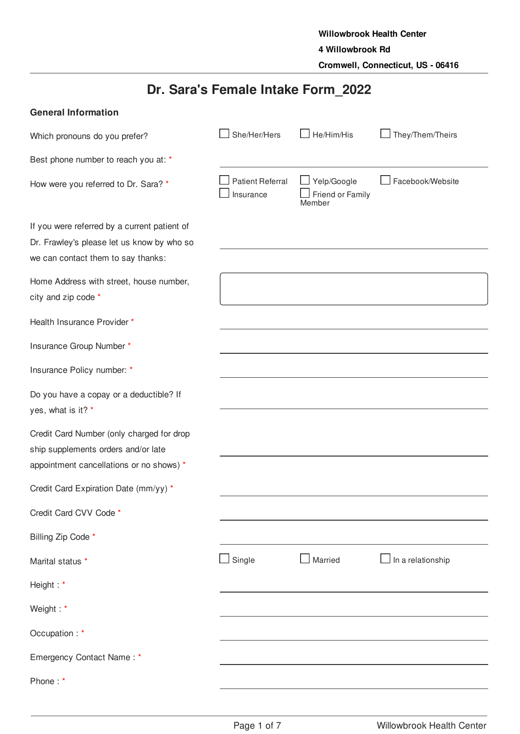# **Dr. Sara's Female Intake Form\_2022**

| <b>General Information</b>                                                                                                       |                                      |                                           |                   |
|----------------------------------------------------------------------------------------------------------------------------------|--------------------------------------|-------------------------------------------|-------------------|
| Which pronouns do you prefer?                                                                                                    | She/Her/Hers                         | He/Him/His                                | They/Them/Theirs  |
| Best phone number to reach you at: *                                                                                             |                                      |                                           |                   |
| How were you referred to Dr. Sara? *                                                                                             | <b>Patient Referral</b><br>Insurance | Yelp/Google<br>Friend or Family<br>Member | Facebook/Website  |
| If you were referred by a current patient of<br>Dr. Frawley's please let us know by who so<br>we can contact them to say thanks: |                                      |                                           |                   |
| Home Address with street, house number,<br>city and zip code *                                                                   |                                      |                                           |                   |
| Health Insurance Provider *                                                                                                      |                                      |                                           |                   |
| Insurance Group Number *                                                                                                         |                                      |                                           |                   |
| Insurance Policy number: *                                                                                                       |                                      |                                           |                   |
| Do you have a copay or a deductible? If<br>yes, what is it? *                                                                    |                                      |                                           |                   |
| Credit Card Number (only charged for drop<br>ship supplements orders and/or late<br>appointment cancellations or no shows) *     |                                      |                                           |                   |
| Credit Card Expiration Date (mm/yy) *                                                                                            |                                      |                                           |                   |
| Credit Card CVV Code *                                                                                                           |                                      |                                           |                   |
| Billing Zip Code *                                                                                                               |                                      |                                           |                   |
| Marital status *                                                                                                                 | $\Box$ Single                        | $\Box$ Married                            | In a relationship |
| Height: *                                                                                                                        |                                      |                                           |                   |
| Weight: *                                                                                                                        |                                      |                                           |                   |
| Occupation: *                                                                                                                    |                                      |                                           |                   |
| Emergency Contact Name: *                                                                                                        |                                      |                                           |                   |
| Phone:*                                                                                                                          |                                      |                                           |                   |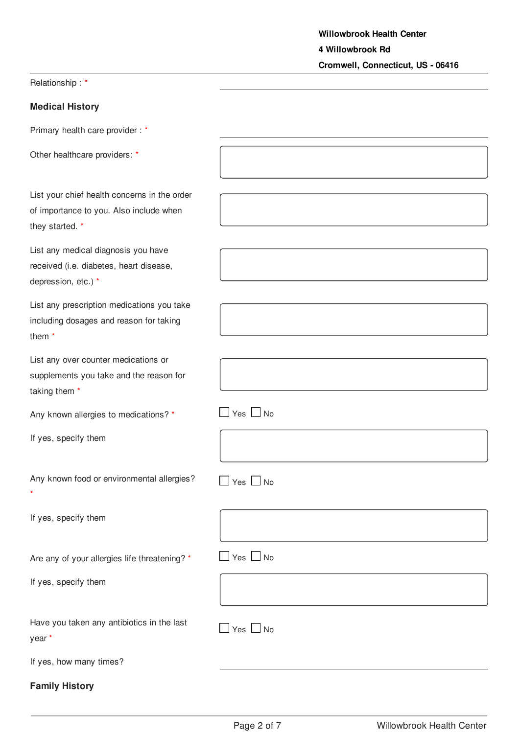| Relationship: * |  |  |
|-----------------|--|--|
|                 |  |  |

| <b>Medical History</b>                                                                                     |                |
|------------------------------------------------------------------------------------------------------------|----------------|
| Primary health care provider: *                                                                            |                |
| Other healthcare providers: *                                                                              |                |
| List your chief health concerns in the order<br>of importance to you. Also include when<br>they started. * |                |
| List any medical diagnosis you have<br>received (i.e. diabetes, heart disease,<br>depression, etc.) *      |                |
| List any prescription medications you take<br>including dosages and reason for taking<br>them <sup>*</sup> |                |
| List any over counter medications or<br>supplements you take and the reason for<br>taking them *           |                |
| Any known allergies to medications? *                                                                      | $Yes \tN$      |
| If yes, specify them                                                                                       |                |
| Any known food or environmental allergies?<br>*                                                            | Yes<br>No      |
| If yes, specify them                                                                                       |                |
| Are any of your allergies life threatening? *                                                              | Yes $\Box$ No  |
| If yes, specify them                                                                                       |                |
| Have you taken any antibiotics in the last<br>year *                                                       | $Yes \perp No$ |
| If yes, how many times?                                                                                    |                |
| <b>Family History</b>                                                                                      |                |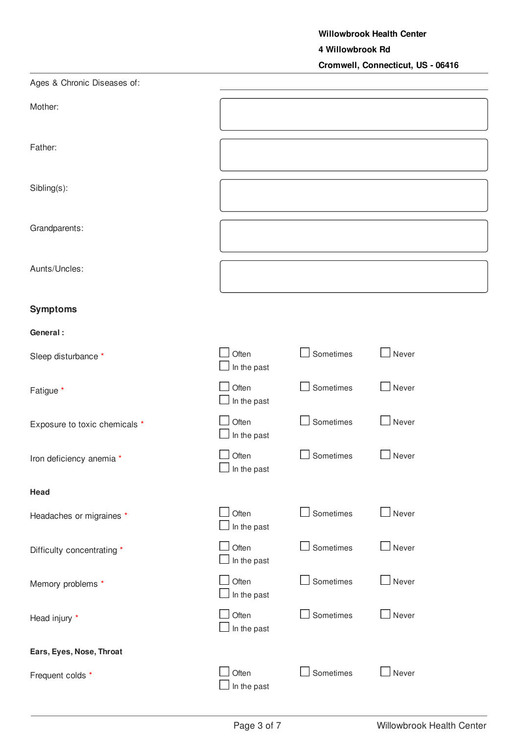| Ages & Chronic Diseases of:   |                             |           |       |  |  |
|-------------------------------|-----------------------------|-----------|-------|--|--|
| Mother:                       |                             |           |       |  |  |
| Father:                       |                             |           |       |  |  |
| Sibling(s):                   |                             |           |       |  |  |
| Grandparents:                 |                             |           |       |  |  |
| Aunts/Uncles:                 |                             |           |       |  |  |
| <b>Symptoms</b>               |                             |           |       |  |  |
| General:                      |                             |           |       |  |  |
| Sleep disturbance *           | Often<br>In the past        | Sometimes | Never |  |  |
| Fatigue *                     | Often<br>In the past        | Sometimes | Never |  |  |
| Exposure to toxic chemicals * | Often<br>In the past        | Sometimes | Never |  |  |
| Iron deficiency anemia *      | Often<br>$\Box$ In the past | Sometimes | Never |  |  |
| Head                          |                             |           |       |  |  |
| Headaches or migraines *      | Often<br>In the past        | Sometimes | Never |  |  |
| Difficulty concentrating *    | Often<br>In the past        | Sometimes | Never |  |  |
| Memory problems *             | Often<br>In the past        | Sometimes | Never |  |  |
| Head injury *                 | Often<br>$\Box$ In the past | Sometimes | Never |  |  |
| Ears, Eyes, Nose, Throat      |                             |           |       |  |  |
| Frequent colds *              | Often<br>In the past        | Sometimes | Never |  |  |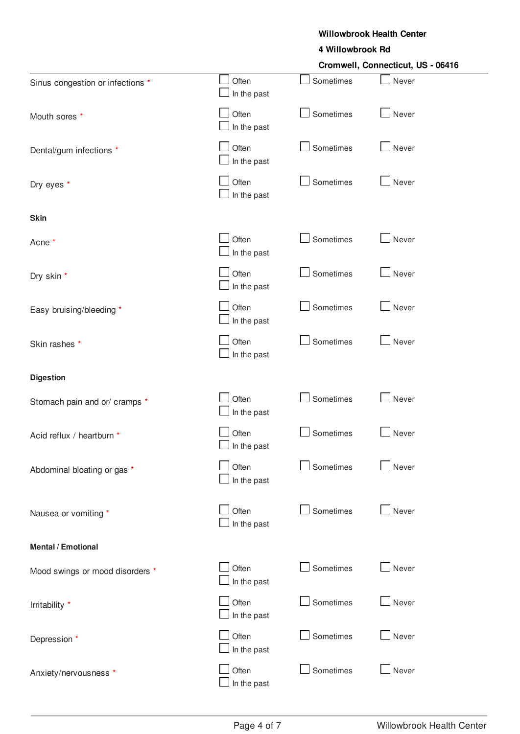|                                  |                      | <b>Willowbrook Health Center</b> |                                   |  |
|----------------------------------|----------------------|----------------------------------|-----------------------------------|--|
|                                  |                      | 4 Willowbrook Rd                 |                                   |  |
|                                  |                      |                                  | Cromwell, Connecticut, US - 06416 |  |
| Sinus congestion or infections * | Often<br>In the past | Sometimes                        | Never                             |  |
| Mouth sores *                    | Often<br>In the past | Sometimes                        | Never                             |  |
| Dental/gum infections *          | Often<br>In the past | Sometimes                        | Never                             |  |
| Dry eyes *                       | Often<br>In the past | Sometimes                        | Never                             |  |
| <b>Skin</b>                      |                      |                                  |                                   |  |
| Acne *                           | Often<br>In the past | Sometimes                        | Never                             |  |
| Dry skin *                       | Often<br>In the past | Sometimes                        | Never                             |  |
| Easy bruising/bleeding *         | Often<br>In the past | Sometimes                        | Never                             |  |
| Skin rashes *                    | Often<br>In the past | Sometimes                        | Never                             |  |
| <b>Digestion</b>                 |                      |                                  |                                   |  |
| Stomach pain and or/ cramps *    | Often<br>In the past | Sometimes                        | Never                             |  |
| Acid reflux / heartburn *        | Often<br>In the past | Sometimes                        | Never                             |  |
| Abdominal bloating or gas *      | Often<br>In the past | Sometimes                        | $\Box$ Never                      |  |
| Nausea or vomiting *             | Often<br>In the past | Sometimes                        | Never                             |  |
| Mental / Emotional               |                      |                                  |                                   |  |
| Mood swings or mood disorders *  | Often<br>In the past | Sometimes                        | $\Box$ Never                      |  |
| Irritability *                   | Often<br>In the past | Sometimes                        | Never<br>$\blacksquare$           |  |
| Depression *                     | Often<br>In the past | Sometimes                        | Never                             |  |

Anxiety/nervousness \*  $\Box$  Often  $\Box$  Sometimes  $\Box$  Never

 $\exists$  In the past

 $\sqrt{ }$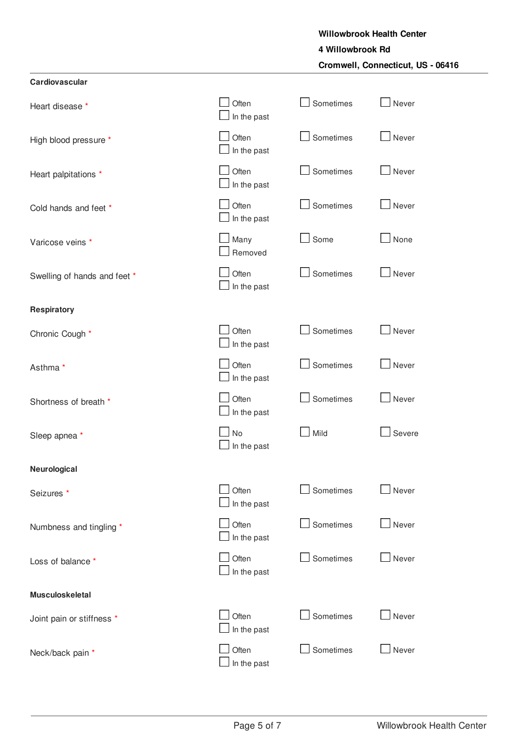## **Willowbrook Health Center**

### **4 Willowbrook Rd Cromwell, Connecticut, US - 06416**

| Cardiovascular               |                      |           |        |
|------------------------------|----------------------|-----------|--------|
| Heart disease *              | Often<br>In the past | Sometimes | Never  |
| High blood pressure *        | Often<br>In the past | Sometimes | Never  |
| Heart palpitations *         | Often<br>In the past | Sometimes | Never  |
| Cold hands and feet *        | Often<br>In the past | Sometimes | Never  |
| Varicose veins *             | Many<br>Removed      | Some      | None   |
| Swelling of hands and feet * | Often<br>In the past | Sometimes | Never  |
| <b>Respiratory</b>           |                      |           |        |
| Chronic Cough *              | Often<br>In the past | Sometimes | Never  |
| Asthma*                      | Often<br>In the past | Sometimes | Never  |
| Shortness of breath *        | Often<br>In the past | Sometimes | Never  |
| Sleep apnea *                | No<br>In the past    | Mild      | Severe |
| Neurological                 |                      |           |        |
| Seizures *                   | Often<br>In the past | Sometimes | Never  |
| Numbness and tingling *      | Often<br>In the past | Sometimes | Never  |
| Loss of balance *            | Often<br>In the past | Sometimes | Never  |
| Musculoskeletal              |                      |           |        |
| Joint pain or stiffness *    | Often<br>In the past | Sometimes | Never  |
| Neck/back pain *             | Often<br>In the past | Sometimes | Never  |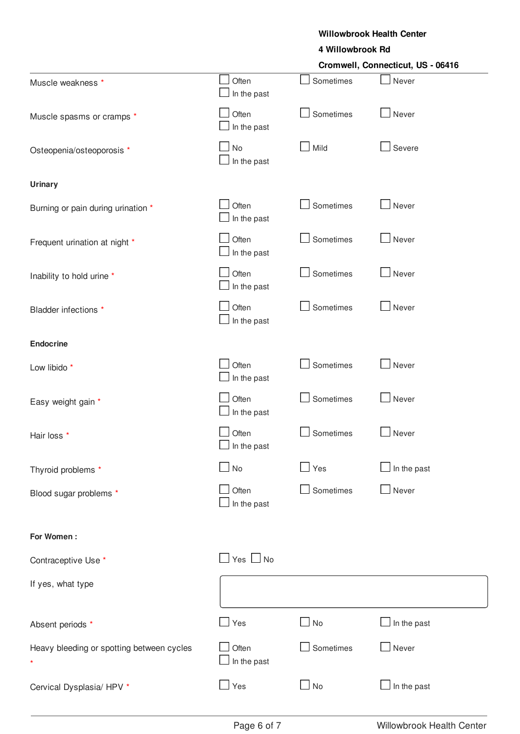#### **Willowbrook Health Center**

#### **4 Willowbrook Rd**

|                                                |                             | Cromwell, Connecticut, US - 06416 |             |  |
|------------------------------------------------|-----------------------------|-----------------------------------|-------------|--|
| Muscle weakness *                              | Often<br>In the past        | Sometimes                         | Never       |  |
| Muscle spasms or cramps *                      | Often<br>In the past        | Sometimes                         | Never       |  |
| Osteopenia/osteoporosis *                      | No<br>In the past           | Mild                              | Severe      |  |
| <b>Urinary</b>                                 |                             |                                   |             |  |
| Burning or pain during urination *             | Often<br>In the past        | Sometimes                         | Never       |  |
| Frequent urination at night *                  | Often<br>In the past        | Sometimes                         | Never       |  |
| Inability to hold urine *                      | Often<br>In the past        | Sometimes                         | Never       |  |
| Bladder infections *                           | Often<br>In the past        | Sometimes                         | Never       |  |
| <b>Endocrine</b>                               |                             |                                   |             |  |
| Low libido *                                   | Often<br>In the past        | Sometimes                         | Never       |  |
| Easy weight gain *                             | Often<br>In the past        | Sometimes                         | Never       |  |
| Hair loss *                                    | Often<br>$\Box$ In the past | Sometimes                         | Never       |  |
| Thyroid problems *                             | $\Box$ No                   | $\Box$ Yes                        | In the past |  |
| Blood sugar problems *                         | Often<br>In the past        | Sometimes                         | Never       |  |
| For Women:                                     |                             |                                   |             |  |
| Contraceptive Use *                            | $\Box$ Yes $\Box$ No        |                                   |             |  |
| If yes, what type                              |                             |                                   |             |  |
| Absent periods *                               | $\Box$ Yes                  | $\Box$ No                         | In the past |  |
| Heavy bleeding or spotting between cycles<br>* | Often<br>In the past        | Sometimes                         | Never       |  |
| Cervical Dysplasia/HPV *                       | $\Box$ Yes                  | $\Box$ No                         | In the past |  |